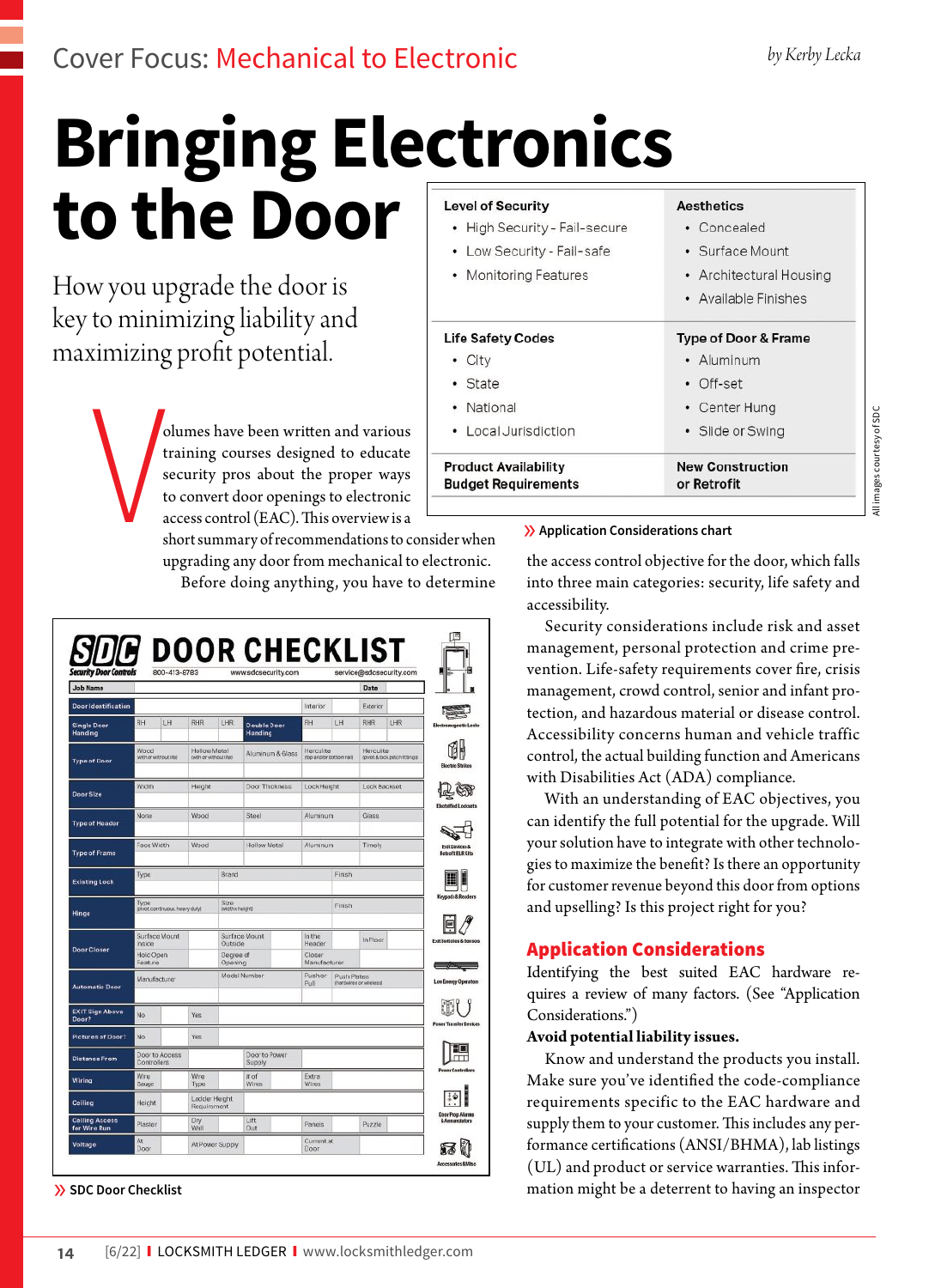All images courtesy of SDC

images courtesy of SD

## **Bringing Electronics to the Door Level of Security Aesthetics** • High Security - Fail-secure • Low Security - Fail-safe

How you upgrade the door is key to minimizing liability and maximizing profit potential.

> **V** olumes have been written and various training courses designed to educate security pros about the proper ways to convert door openings to electronic access control (EAC). This overview is a

short summary of recommendations to consider when upgrading any door from mechanical to electronic. Before doing anything, you have to determine

| <b>Job Name</b>                       |                                     |                                 |                                       |                         |                         |                    |                                     |    | Date                                    |     |
|---------------------------------------|-------------------------------------|---------------------------------|---------------------------------------|-------------------------|-------------------------|--------------------|-------------------------------------|----|-----------------------------------------|-----|
| <b>Door Identification</b>            |                                     |                                 |                                       |                         |                         |                    | Interior                            |    | Exterior                                |     |
| <b>Single Door</b><br>Handing         | <b>RH</b>                           | LH                              | RHR                                   | LHR                     | Double Door<br>Handing  |                    | RH                                  | LH | RHR                                     | LHR |
| <b>Type of Door</b>                   | Wood<br><b>IWITION WITHOUT ITER</b> |                                 | Hollow Metal<br>(WIT) OF WITHOUT FROT |                         | Aluminum & Glass        |                    | Herculite<br>nop and/or bottom rail |    | Hercuite<br>government percent research |     |
| Door Size                             | Width                               |                                 | Height                                |                         | Door Thickness          |                    | Lock Height                         |    | Lock Backset                            |     |
| <b>Type of Header</b>                 | None                                |                                 | Wood                                  |                         | Steel                   |                    | Aluminum                            |    | Glass                                   |     |
| <b>Type of Frame</b>                  | Face Width                          |                                 | Wood                                  |                         | Hollow Metal            |                    | Aluminum                            |    | Timely                                  |     |
| <b>Existing Lock</b>                  | Туре                                |                                 | Brand                                 |                         |                         |                    | Finish                              |    |                                         |     |
| Hinge                                 | Type                                | lpivot, continuous, heavy dutyl |                                       | Sze<br>(width x height) |                         |                    | Finish                              |    |                                         |     |
| <b>Door Closer</b>                    | Surface Mount<br>Inside             |                                 |                                       | Outside                 | Surface Mount           |                    | <b>In the</b><br>Header             |    | In Floor                                |     |
|                                       | Hold Open<br>Feature                |                                 |                                       | Degree of<br>Opening    |                         |                    | Closer<br>Manufacturer              |    |                                         |     |
| <b>Automatic Door</b>                 | Manufacturer                        |                                 |                                       |                         | Model Number            |                    | Push or<br>Push Plates<br>Pull      |    | than divine dior wire less st           |     |
| <b>EXIT Sign Above</b><br>Door?       | No.                                 |                                 | Yes                                   |                         |                         |                    |                                     |    |                                         |     |
| Pictures of Door?                     | No                                  |                                 | Yes                                   |                         |                         |                    |                                     |    |                                         |     |
| <b>Distance From</b>                  | Door to Access<br>Controllers       |                                 |                                       |                         | Door to Power<br>Supply |                    |                                     |    |                                         |     |
| Wiring                                | Wire<br>Gauge                       |                                 | Wire<br>Type                          |                         | $\pi$ of<br>Wires       |                    | Extra<br>Wires                      |    |                                         |     |
| Ceiling                               | Height                              |                                 | Requirement                           | Ladder Height           |                         |                    |                                     |    |                                         |     |
| <b>Ceiling Access</b><br>for Wire Run | Plaster                             |                                 | Dry<br>Wall                           |                         | Lift<br>Out             |                    | Panels                              |    | Puzzle                                  |     |
| Voltage                               | At<br>At Power Supply<br>Door       |                                 |                                       |                         |                         | Current at<br>Door |                                     |    |                                         |     |

- 
- Monitoring Features

| <b>Product Availability</b><br><b>Budget Requirements</b> | <b>New Construction</b><br>or Retrofit |  |  |  |  |
|-----------------------------------------------------------|----------------------------------------|--|--|--|--|
| • Local Jurisdiction                                      | • Slide or Swing                       |  |  |  |  |
| • National                                                | • Center Hung                          |  |  |  |  |
| • State                                                   | • Off-set                              |  |  |  |  |
| City<br>۰                                                 | • Aluminum                             |  |  |  |  |
| <b>Life Safety Codes</b>                                  | <b>Type of Door &amp; Frame</b>        |  |  |  |  |
|                                                           | AVAIIADIC FII IISHCS                   |  |  |  |  |

### » **Application Considerations chart**

the access control objective for the door, which falls into three main categories: security, life safety and accessibility.

• Concealed

· Surface Mount

• Architectural Housing Available Einiches

Security considerations include risk and asset management, personal protection and crime prevention. Life-safety requirements cover fire, crisis management, crowd control, senior and infant protection, and hazardous material or disease control. Accessibility concerns human and vehicle traffic control, the actual building function and Americans with Disabilities Act (ADA) compliance.

With an understanding of EAC objectives, you can identify the full potential for the upgrade. Will your solution have to integrate with other technologies to maximize the benefit? Is there an opportunity for customer revenue beyond this door from options and upselling? Is this project right for you?

## Application Considerations

Identifying the best suited EAC hardware requires a review of many factors. (See "Application Considerations.")

### **Avoid potential liability issues.**

Know and understand the products you install. Make sure you've identified the code-compliance requirements specific to the EAC hardware and supply them to your customer. This includes any performance certifications (ANSI/BHMA), lab listings (UL) and product or service warranties. This infor- » **SDC Door Checklist** mation might be a deterrent to having an inspector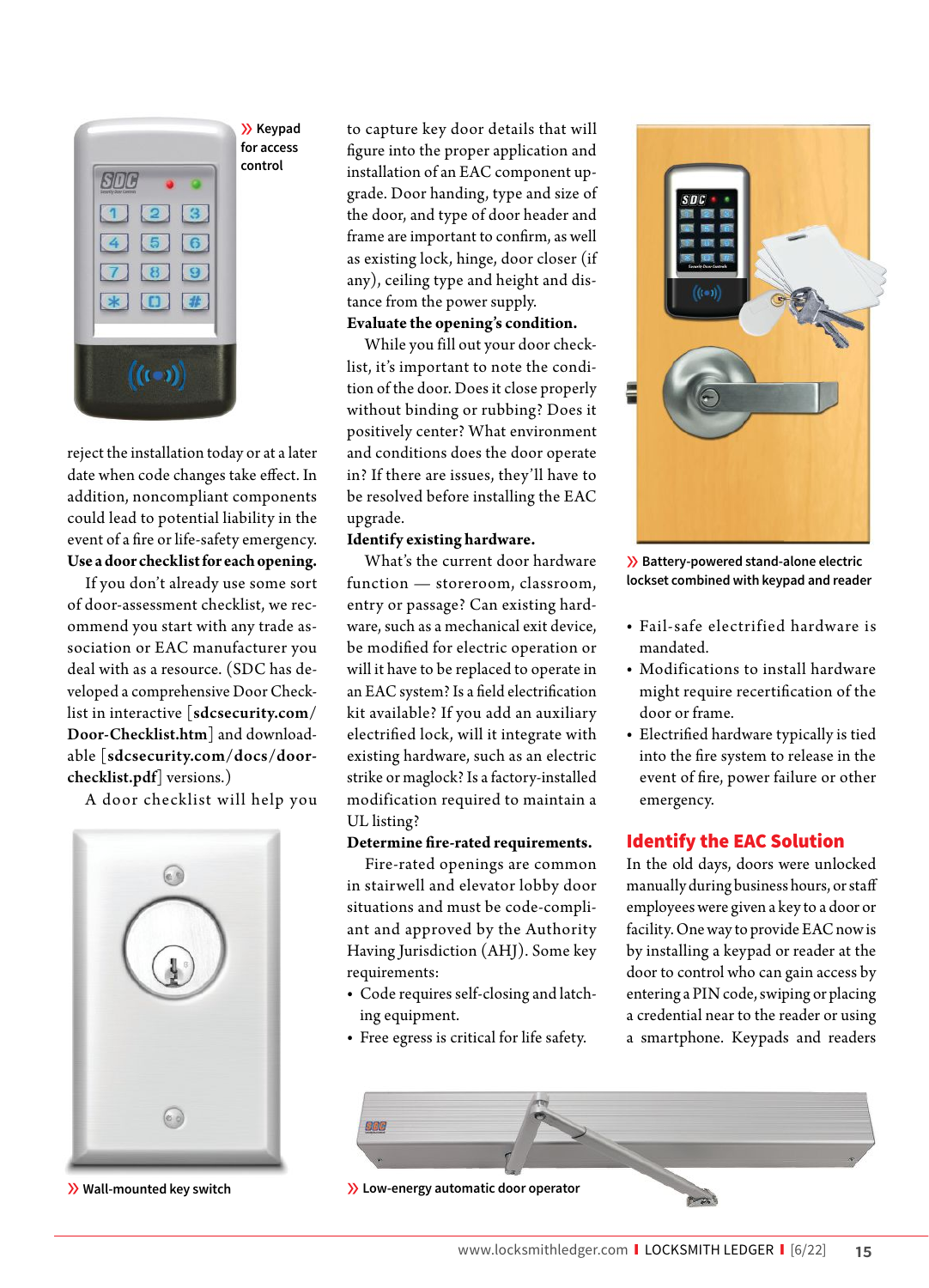

reject the installation today or at a later date when code changes take effect. In addition, noncompliant components could lead to potential liability in the event of a fire or life-safety emergency. **Use a door checklist for each opening.**

If you don't already use some sort of door-assessment checklist, we recommend you start with any trade association or EAC manufacturer you deal with as a resource. (SDC has developed a comprehensive Door Checklist in interactive [sdcsecurity.com/ Door-Checklist.htm] and downloadable [sdcsecurity.com/docs/doorchecklist.pdf] versions.)

A door checklist will help you



to capture key door details that will figure into the proper application and installation of an EAC component upgrade. Door handing, type and size of the door, and type of door header and frame are important to confirm, as well as existing lock, hinge, door closer (if any), ceiling type and height and distance from the power supply.

## **Evaluate the opening's condition.**

While you fill out your door checklist, it's important to note the condition of the door. Does it close properly without binding or rubbing? Does it positively center? What environment and conditions does the door operate in? If there are issues, they'll have to be resolved before installing the EAC upgrade.

### **Identify existing hardware.**

What's the current door hardware function — storeroom, classroom, entry or passage? Can existing hardware, such as a mechanical exit device, be modified for electric operation or will it have to be replaced to operate in an EAC system? Is a field electrification kit available? If you add an auxiliary electrified lock, will it integrate with existing hardware, such as an electric strike or maglock? Is a factory-installed modification required to maintain a UL listing?

### **Determine fire-rated requirements.**

Fire-rated openings are common in stairwell and elevator lobby door situations and must be code-compliant and approved by the Authority Having Jurisdiction (AHJ). Some key requirements:

- **•** Code requires self-closing and latching equipment.
- **•** Free egress is critical for life safety.



» **Battery-powered stand-alone electric lockset combined with keypad and reader**

- **•** Fail-safe electrified hardware is mandated.
- **•** Modifications to install hardware might require recertification of the door or frame.
- Electrified hardware typically is tied into the fire system to release in the event of fire, power failure or other emergency.

## Identify the EAC Solution

In the old days, doors were unlocked manually during business hours, or sta employees were given a key to a door or facility. One way to provide EAC now is by installing a keypad or reader at the door to control who can gain access by entering a PIN code, swiping or placing a credential near to the reader or using a smartphone. Keypads and readers



» **Wall-mounted key switch** » **Low-energy automatic door operator**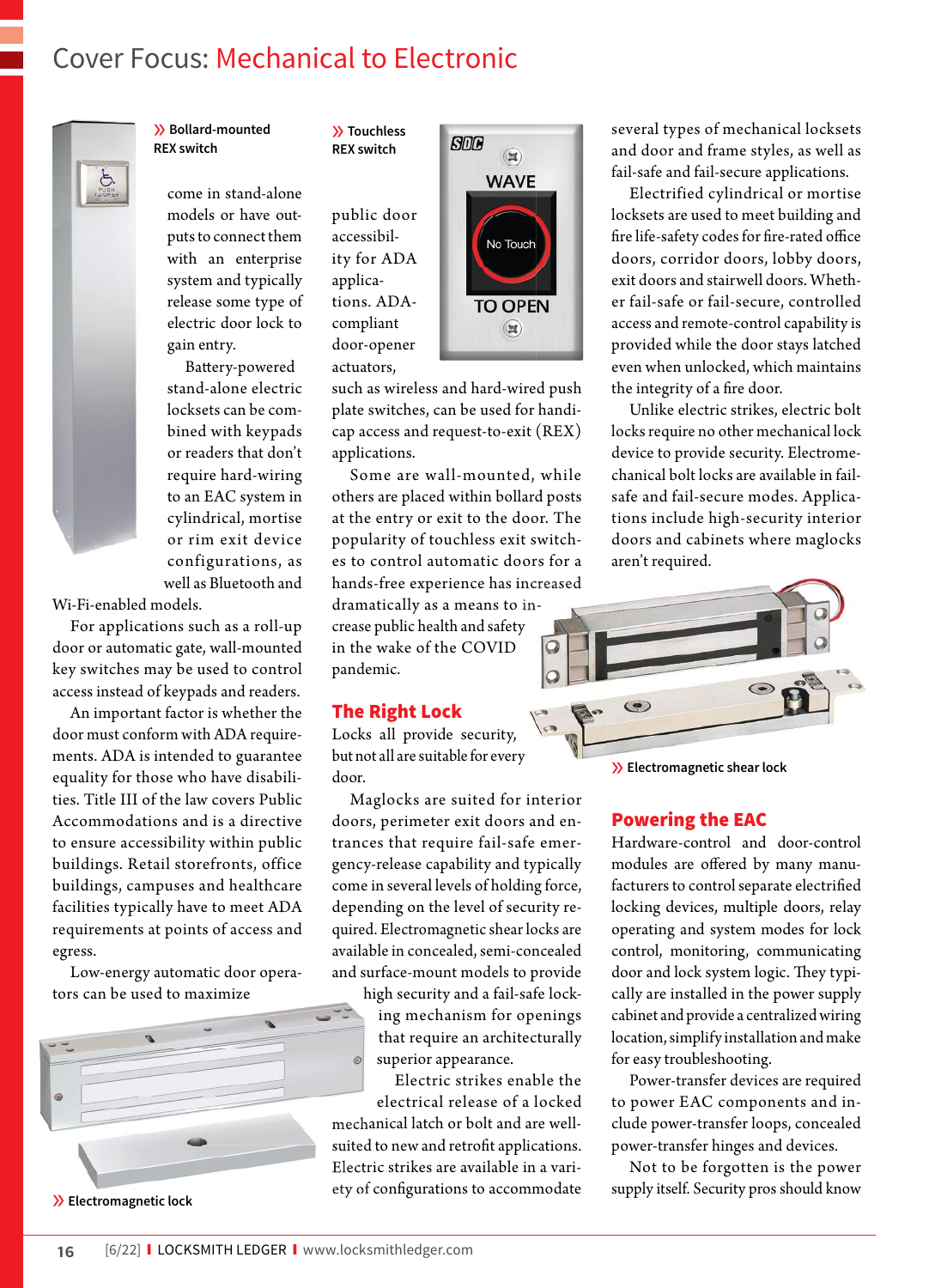## Cover Focus: Mechanical to Electronic



» **Bollard-mounted REX switch**

> come in stand-alone models or have outputs to connect them with an enterprise system and typically release some type of electric door lock to gain entry.

Battery-powered stand-alone electric locksets can be combined with keypads or readers that don't require hard-wiring to an EAC system in cylindrical, mortise or rim exit device configurations, as well as Bluetooth and

Wi-Fi-enabled models.

For applications such as a roll-up door or automatic gate, wall-mounted key switches may be used to control access instead of keypads and readers.

An important factor is whether the door must conform with ADA requirements. ADA is intended to guarantee equality for those who have disabilities. Title III of the law covers Public Accommodations and is a directive to ensure accessibility within public buildings. Retail storefronts, office buildings, campuses and healthcare facilities typically have to meet ADA requirements at points of access and egress.

Low-energy automatic door operators can be used to maximize



» **Electromagnetic lock**

» **Touchless REX switch**

> public door accessibility for ADA applications. ADAcompliant door-opener actuators,



such as wireless and hard-wired push plate switches, can be used for handicap access and request-to-exit (REX) applications.

Some are wall-mounted, while others are placed within bollard posts at the entry or exit to the door. The popularity of touchless exit switches to control automatic doors for a hands-free experience has increased

dramatically as a means to increase public health and safety in the wake of the COVID pandemic.

#### The Right Lock

Locks all provide security, but not all are suitable for every door.

Maglocks are suited for interior doors, perimeter exit doors and entrances that require fail-safe emergency-release capability and typically come in several levels of holding force, depending on the level of security required. Electromagnetic shear locks are available in concealed, semi-concealed and surface-mount models to provide

> high security and a fail-safe locking mechanism for openings that require an architecturally superior appearance.

Electric strikes enable the electrical release of a locked mechanical latch or bolt and are wellmechanical latch or bolt and are well-<br>suited to new and retrofit applications. Electric strikes are available in a vari-Electric strikes are available in a vari-<br>ety of configurations to accommodate several types of mechanical locksets and door and frame styles, as well as fail-safe and fail-secure applications.

Electrified cylindrical or mortise locksets are used to meet building and fire life-safety codes for fire-rated office doors, corridor doors, lobby doors, exit doors and stairwell doors. Whether fail-safe or fail-secure, controlled access and remote-control capability is provided while the door stays latched even when unlocked, which maintains the integrity of a fire door.

Unlike electric strikes, electric bolt locks require no other mechanical lock device to provide security. Electromechanical bolt locks are available in failsafe and fail-secure modes. Applications include high-security interior doors and cabinets where maglocks aren't required.



» **Electromagnetic shear lock**

### Powering the EAC

Hardware-control and door-control modules are offered by many manufacturers to control separate electrified locking devices, multiple doors, relay operating and system modes for lock control, monitoring, communicating door and lock system logic. They typically are installed in the power supply cabinet and provide a centralized wiring location, simplify installation and make for easy troubleshooting.

Power-transfer devices are required to power EAC components and include power-transfer loops, concealed power-transfer hinges and devices.

Not to be forgotten is the power supply itself. Security pros should know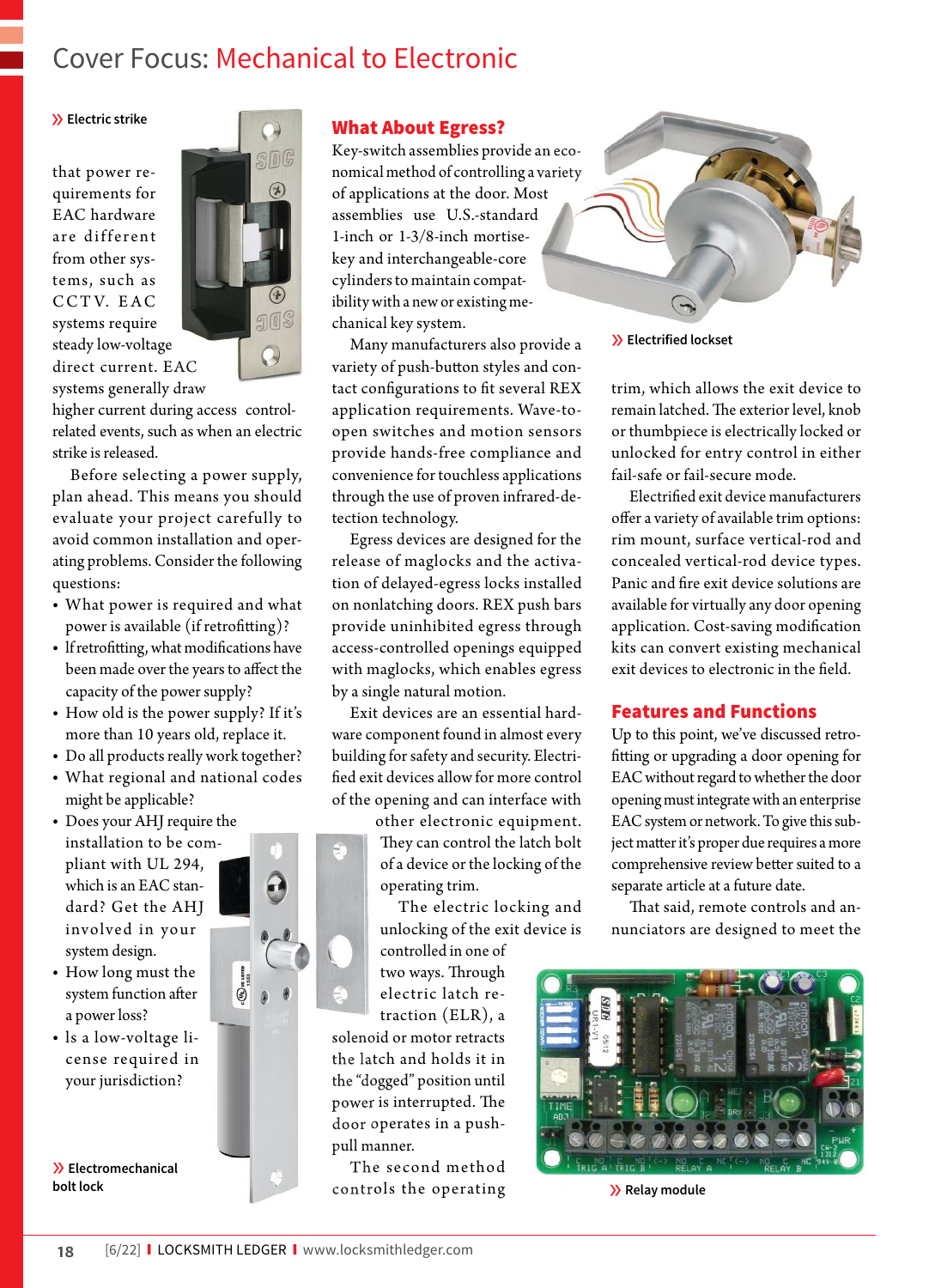# Cover Focus: Mechanical to Electronic

### » **Electric strike**

that power requirements for EAC hardware are different from other systems, such as CCTV. EAC systems require steady low-voltage low-voltage direct current. E EAC systems generally draw



higher current during access controlrelated events, such as when an electric strike is released.

Before selecting a power supply, plan ahead. This means you should evaluate your project carefully to avoid common installation and operating problems. Consider the following questions:

- **•** What power is required and what power is available (if retrofitting)?
- If retrofitting, what modifications have been made over the years to affect the capacity of the power supply?
- **•** How old is the power supply? If it's more than 10 years old, replace it.
- **•** Do all products really work together?
- **•** What regional and national codes might be applicable?
- **•** Does your AHJ require the installation to be compliant with UL 294, which is an EAC standard? Get the AHJ involved in your system design.
- **•** How long must the system function after a power loss?
- **•** ls a low-voltage license required in your jurisdiction?

» **Electromechanical** 

## What About Egress?

Key-switch assemblies provide a an economical method of controlling a variety of applications at the door. Mos Most assemblies use U.S.-standard 1-inch or 1-3/8-inch mortisekey and interchangeable-core cylinders to maintain compatibility with a new or existing mechanical key system.

Many manufacturers also provide a variety of push-button styles and contact configurations to fit several REX application requirements. Wave-toopen switches and motion sensors provide hands-free compliance and convenience for touchless applications through the use of proven infrared-detection technology.

Egress devices are designed for the release of maglocks and the activation of delayed-egress locks installed on nonlatching doors. REX push bars provide uninhibited egress through access-controlled openings equipped with maglocks, which enables egress by a single natural motion.

Exit devices are an essential hardware component found in almost every building for safety and security. Electri fied exit devices allow for more control of the opening and can interface with

> other electronic equipment. They can control the latch bolt of a device or the locking of the operating trim.

The electric locking and unlocking of the exit device is controlled in one of

two ways. Through electric latch retraction (ELR), a solenoid or motor retracts

the latch and holds it in the "dogged" position until power is interrupted. The door operates in a push-<br>pull manner.<br>The second method pull manner.

he second method rols the operating controls operating **bolt lock** » **Relay module**



» **Electrified lockset**

trim, which allows the exit device to remain latched. The exterior level, knob or thumbpiece is electrically locked or unlocked for entry control in either fail-safe or fail-secure mode.

Electrified exit device manufacturers offer a variety of available trim options: rim mount, surface vertical-rod and concealed vertical-rod device types. Panic and fire exit device solutions are available for virtually any door opening application. Cost-saving modification kits can convert existing mechanical exit devices to electronic in the field.

## Features and Functions

Up to this point, we've discussed retro fitting or upgrading a door opening for EAC without regard to whether the door opening must integrate with an enterprise EAC system or network. To give this subject matter it's proper due requires a more comprehensive review better suited to a separate article at a future date.

That said, remote controls and annunciators are designed to meet the